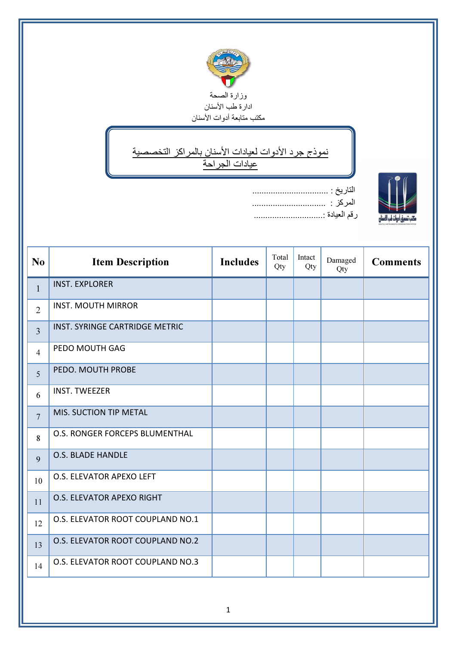

## ↘ نموذج جرد الأدوات لعيادات الأسنان بالمراكز التخصصية عيادات الجراحة

ī



| التاريخ : |
|-----------|
| المركز :  |
|           |

| N <sub>0</sub> | <b>Item Description</b>          | <b>Includes</b> | Total<br>Qty | Intact<br>Qty | Damaged<br>Qty | <b>Comments</b> |
|----------------|----------------------------------|-----------------|--------------|---------------|----------------|-----------------|
| $\mathbf{1}$   | <b>INST. EXPLORER</b>            |                 |              |               |                |                 |
| $\overline{2}$ | <b>INST. MOUTH MIRROR</b>        |                 |              |               |                |                 |
| $\overline{3}$ | INST. SYRINGE CARTRIDGE METRIC   |                 |              |               |                |                 |
| $\overline{4}$ | PEDO MOUTH GAG                   |                 |              |               |                |                 |
| 5              | PEDO. MOUTH PROBE                |                 |              |               |                |                 |
| 6              | <b>INST. TWEEZER</b>             |                 |              |               |                |                 |
| $\overline{7}$ | <b>MIS. SUCTION TIP METAL</b>    |                 |              |               |                |                 |
| 8              | O.S. RONGER FORCEPS BLUMENTHAL   |                 |              |               |                |                 |
| 9              | <b>O.S. BLADE HANDLE</b>         |                 |              |               |                |                 |
| 10             | O.S. ELEVATOR APEXO LEFT         |                 |              |               |                |                 |
| 11             | O.S. ELEVATOR APEXO RIGHT        |                 |              |               |                |                 |
| 12             | O.S. ELEVATOR ROOT COUPLAND NO.1 |                 |              |               |                |                 |
| 13             | O.S. ELEVATOR ROOT COUPLAND NO.2 |                 |              |               |                |                 |
| 14             | O.S. ELEVATOR ROOT COUPLAND NO.3 |                 |              |               |                |                 |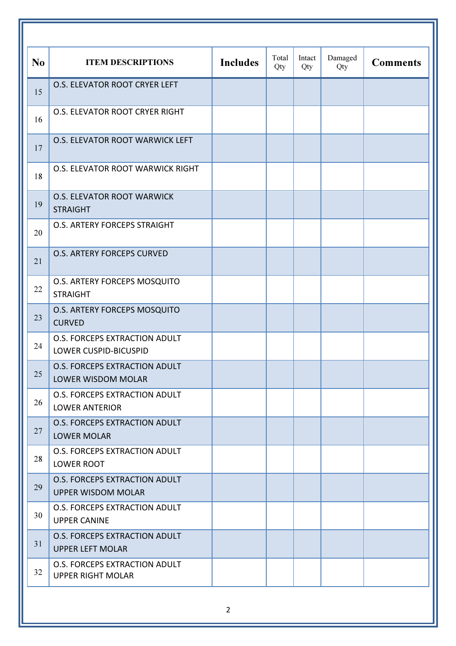| N <sub>o</sub> | <b>ITEM DESCRIPTIONS</b>                                             | <b>Includes</b> | Total<br>Qty | Intact<br>Qty | Damaged<br>Qty | <b>Comments</b> |
|----------------|----------------------------------------------------------------------|-----------------|--------------|---------------|----------------|-----------------|
| 15             | O.S. ELEVATOR ROOT CRYER LEFT                                        |                 |              |               |                |                 |
| 16             | O.S. ELEVATOR ROOT CRYER RIGHT                                       |                 |              |               |                |                 |
| 17             | O.S. ELEVATOR ROOT WARWICK LEFT                                      |                 |              |               |                |                 |
| 18             | O.S. ELEVATOR ROOT WARWICK RIGHT                                     |                 |              |               |                |                 |
| 19             | <b>O.S. ELEVATOR ROOT WARWICK</b><br><b>STRAIGHT</b>                 |                 |              |               |                |                 |
| 20             | <b>O.S. ARTERY FORCEPS STRAIGHT</b>                                  |                 |              |               |                |                 |
| 21             | <b>O.S. ARTERY FORCEPS CURVED</b>                                    |                 |              |               |                |                 |
| 22             | O.S. ARTERY FORCEPS MOSQUITO<br><b>STRAIGHT</b>                      |                 |              |               |                |                 |
| 23             | O.S. ARTERY FORCEPS MOSQUITO<br><b>CURVED</b>                        |                 |              |               |                |                 |
| 24             | <b>O.S. FORCEPS EXTRACTION ADULT</b><br><b>LOWER CUSPID-BICUSPID</b> |                 |              |               |                |                 |
| 25             | <b>O.S. FORCEPS EXTRACTION ADULT</b><br><b>LOWER WISDOM MOLAR</b>    |                 |              |               |                |                 |
| 26             | <b>O.S. FORCEPS EXTRACTION ADULT</b><br><b>LOWER ANTERIOR</b>        |                 |              |               |                |                 |
| 27             | <b>O.S. FORCEPS EXTRACTION ADULT</b><br><b>LOWER MOLAR</b>           |                 |              |               |                |                 |
| 28             | O.S. FORCEPS EXTRACTION ADULT<br>LOWER ROOT                          |                 |              |               |                |                 |
| 29             | <b>O.S. FORCEPS EXTRACTION ADULT</b><br><b>UPPER WISDOM MOLAR</b>    |                 |              |               |                |                 |
| 30             | O.S. FORCEPS EXTRACTION ADULT<br><b>UPPER CANINE</b>                 |                 |              |               |                |                 |
| 31             | O.S. FORCEPS EXTRACTION ADULT<br><b>UPPER LEFT MOLAR</b>             |                 |              |               |                |                 |
| 32             | <b>O.S. FORCEPS EXTRACTION ADULT</b><br><b>UPPER RIGHT MOLAR</b>     |                 |              |               |                |                 |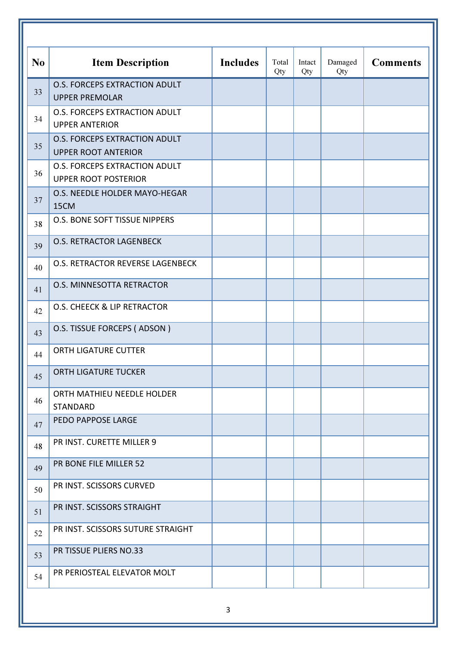| N <sub>o</sub> | <b>Item Description</b>                                             | <b>Includes</b> | Total<br>Qty | Intact<br>Qty | Damaged<br>Qty | <b>Comments</b> |
|----------------|---------------------------------------------------------------------|-----------------|--------------|---------------|----------------|-----------------|
| 33             | <b>O.S. FORCEPS EXTRACTION ADULT</b><br><b>UPPER PREMOLAR</b>       |                 |              |               |                |                 |
| 34             | O.S. FORCEPS EXTRACTION ADULT<br><b>UPPER ANTERIOR</b>              |                 |              |               |                |                 |
| 35             | O.S. FORCEPS EXTRACTION ADULT<br><b>UPPER ROOT ANTERIOR</b>         |                 |              |               |                |                 |
| 36             | <b>O.S. FORCEPS EXTRACTION ADULT</b><br><b>UPPER ROOT POSTERIOR</b> |                 |              |               |                |                 |
| 37             | O.S. NEEDLE HOLDER MAYO-HEGAR<br>15CM                               |                 |              |               |                |                 |
| 38             | O.S. BONE SOFT TISSUE NIPPERS                                       |                 |              |               |                |                 |
| 39             | <b>O.S. RETRACTOR LAGENBECK</b>                                     |                 |              |               |                |                 |
| 40             | O.S. RETRACTOR REVERSE LAGENBECK                                    |                 |              |               |                |                 |
| 41             | O.S. MINNESOTTA RETRACTOR                                           |                 |              |               |                |                 |
| 42             | O.S. CHEECK & LIP RETRACTOR                                         |                 |              |               |                |                 |
| 43             | O.S. TISSUE FORCEPS (ADSON)                                         |                 |              |               |                |                 |
| 44             | <b>ORTH LIGATURE CUTTER</b>                                         |                 |              |               |                |                 |
| 45             | ORTH LIGATURE TUCKER                                                |                 |              |               |                |                 |
| 46             | ORTH MATHIEU NEEDLE HOLDER<br><b>STANDARD</b>                       |                 |              |               |                |                 |
| 47             | PEDO PAPPOSE LARGE                                                  |                 |              |               |                |                 |
| 48             | PR INST. CURETTE MILLER 9                                           |                 |              |               |                |                 |
| 49             | PR BONE FILE MILLER 52                                              |                 |              |               |                |                 |
| 50             | PR INST. SCISSORS CURVED                                            |                 |              |               |                |                 |
| 51             | PR INST. SCISSORS STRAIGHT                                          |                 |              |               |                |                 |
| 52             | PR INST. SCISSORS SUTURE STRAIGHT                                   |                 |              |               |                |                 |
| 53             | PR TISSUE PLIERS NO.33                                              |                 |              |               |                |                 |
| 54             | PR PERIOSTEAL ELEVATOR MOLT                                         |                 |              |               |                |                 |